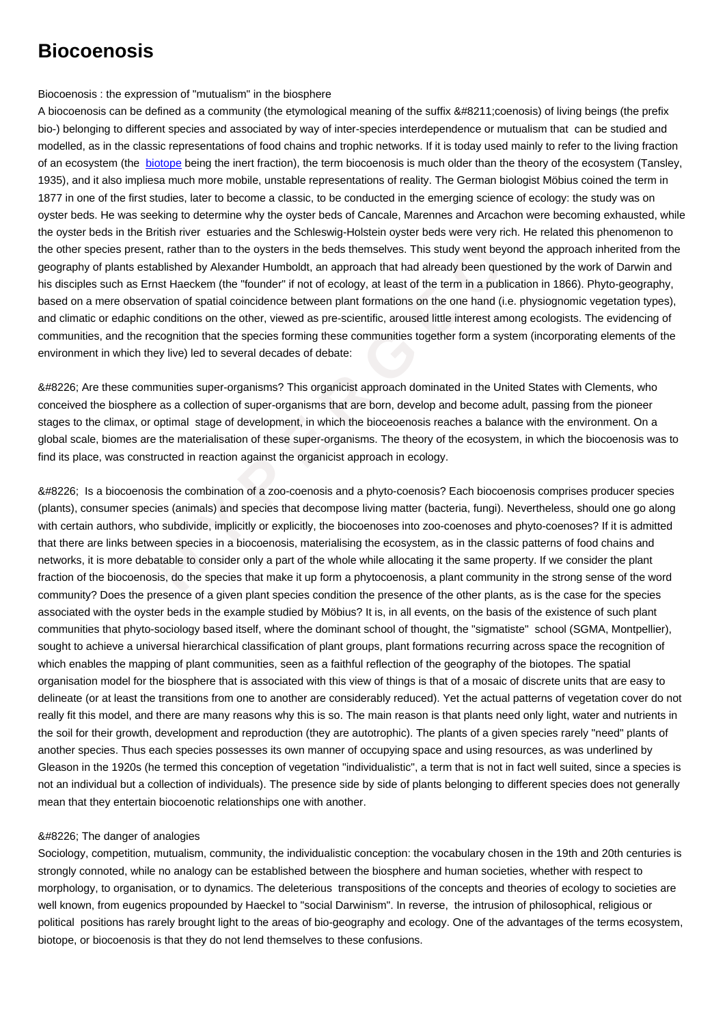## Biocoenosis : the expression of "mutualism" in the biosphere

A biocoenosis can be defined as a community (the etymological meaning of the suffix –coenosis) of living beings (the prefix bio-) belonging to different species and associated by way of inter-species interdependence or mutualism that can be studied and modelled, as in the classic representations of food chains and trophic networks. If it is today used mainly to refer to the living fraction of an ecosystem (the biotope being the inert fraction), the term biocoenosis is much older than the theory of the ecosystem (Tansley, 1935), and it also impliesa much more mobile, unstable representations of reality. The German biologist Möbius coined the term in 1877 in one of the first studies, later to become a classic, to be conducted in the emerging science of ecology: the study was on oyster beds. He was seeking to determine why the oyster beds of Cancale, Marennes and Arcachon were becoming exhausted, while the oyster beds in the [British r](https://wiki.parisgeo.cnrs.fr/?p=395)iver estuaries and the Schleswig-Holstein oyster beds were very rich. He related this phenomenon to the other species present, rather than to the oysters in the beds themselves. This study went beyond the approach inherited from the geography of plants established by Alexander Humboldt, an approach that had already been questioned by the work of Darwin and his disciples such as Ernst Haeckem (the "founder" if not of ecology, at least of the term in a publication in 1866). Phyto-geography, based on a mere observation of spatial coincidence between plant formations on the one hand (i.e. physiognomic vegetation types), and climatic or edaphic conditions on the other, viewed as pre-scientific, aroused little interest among ecologists. The evidencing of communities, and the recognition that the species forming these communities together form a system (incorporating elements of the environment in which they live) led to several decades of debate:

• Are these communities super-organisms? This organicist approach dominated in the United States with Clements, who conceived the biosphere as a collection of super-organisms that are born, develop and become adult, passing from the pioneer stages to the climax, or optimal stage of development, in which the bioceoenosis reaches a balance with the environment. On a global scale, biomes are the materialisation of these super-organisms. The theory of the ecosystem, in which the biocoenosis was to find its place, was constructed in reaction against the organicist approach in ecology.

present, rather than to the oysters in the beds themselves. This study went beyond<br>this established by Alexander Humboldt, an approach that had already been question<br>as Emst Haceken (the "funder" if not of ecology, at leas • Is a biocoenosis the combination of a zoo-coenosis and a phyto-coenosis? Each biocoenosis comprises producer species (plants), consumer species (animals) and species that decompose living matter (bacteria, fungi). Nevertheless, should one go along with certain authors, who subdivide, implicitly or explicitly, the biocoenoses into zoo-coenoses and phyto-coenoses? If it is admitted that there are links between species in a biocoenosis, materialising the ecosystem, as in the classic patterns of food chains and networks, it is more debatable to consider only a part of the whole while allocating it the same property. If we consider the plant fraction of the biocoenosis, do the species that make it up form a phytocoenosis, a plant community in the strong sense of the word community? Does the presence of a given plant species condition the presence of the other plants, as is the case for the species associated with the oyster beds in the example studied by Möbius? It is, in all events, on the basis of the existence of such plant communities that phyto-sociology based itself, where the dominant school of thought, the "sigmatiste" school (SGMA, Montpellier), sought to achieve a universal hierarchical classification of plant groups, plant formations recurring across space the recognition of which enables the mapping of plant communities, seen as a faithful reflection of the geography of the biotopes. The spatial organisation model for the biosphere that is associated with this view of things is that of a mosaic of discrete units that are easy to delineate (or at least the transitions from one to another are considerably reduced). Yet the actual patterns of vegetation cover do not really fit this model, and there are many reasons why this is so. The main reason is that plants need only light, water and nutrients in the soil for their growth, development and reproduction (they are autotrophic). The plants of a given species rarely "need" plants of another species. Thus each species possesses its own manner of occupying space and using resources, as was underlined by Gleason in the 1920s (he termed this conception of vegetation "individualistic", a term that is not in fact well suited, since a species is not an individual but a collection of individuals). The presence side by side of plants belonging to different species does not generally mean that they entertain biocoenotic relationships one with another.

## • The danger of analogies

Sociology, competition, mutualism, community, the individualistic conception: the vocabulary chosen in the 19th and 20th centuries is strongly connoted, while no analogy can be established between the biosphere and human societies, whether with respect to morphology, to organisation, or to dynamics. The deleterious transpositions of the concepts and theories of ecology to societies are well known, from eugenics propounded by Haeckel to "social Darwinism". In reverse, the intrusion of philosophical, religious or political positions has rarely brought light to the areas of bio-geography and ecology. One of the advantages of the terms ecosystem, biotope, or biocoenosis is that they do not lend themselves to these confusions.